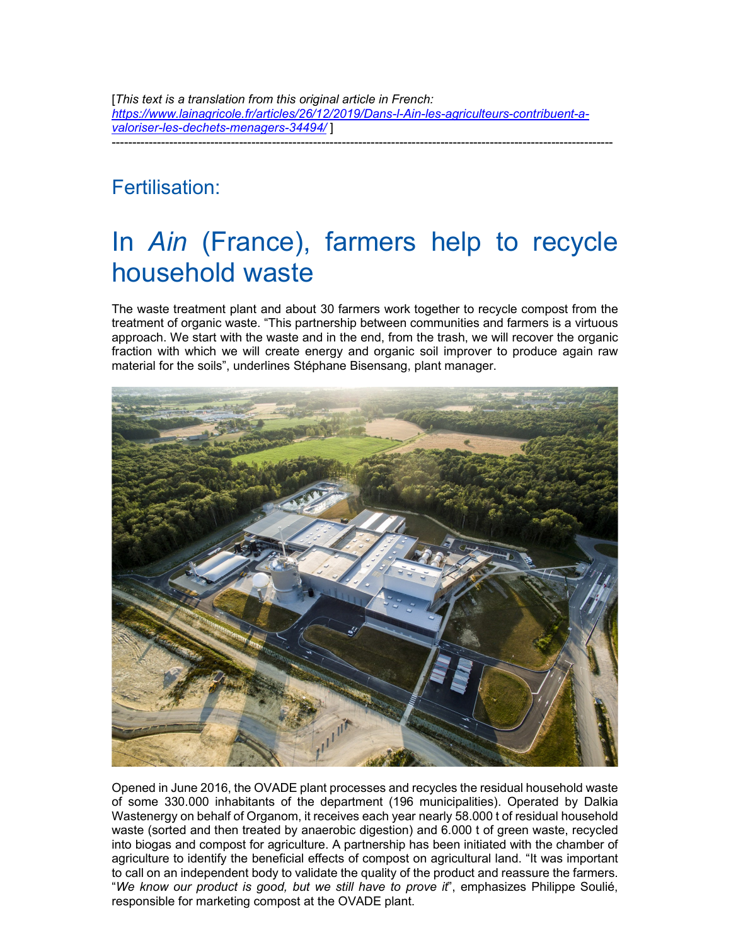[*This text is a translation from this original article in French: https://www.lainagricole.fr/articles/26/12/2019/Dans-l-Ain-les-agriculteurs-contribuent-avaloriser-les-dechets-menagers-34494/* ] --------------------------------------------------------------------------------------------------------------------------

## Fertilisation:

# In *Ain* (France), farmers help to recycle household waste

The waste treatment plant and about 30 farmers work together to recycle compost from the treatment of organic waste. "This partnership between communities and farmers is a virtuous approach. We start with the waste and in the end, from the trash, we will recover the organic fraction with which we will create energy and organic soil improver to produce again raw material for the soils", underlines Stéphane Bisensang, plant manager.



Opened in June 2016, the OVADE plant processes and recycles the residual household waste of some 330.000 inhabitants of the department (196 municipalities). Operated by Dalkia Wastenergy on behalf of Organom, it receives each year nearly 58.000 t of residual household waste (sorted and then treated by anaerobic digestion) and 6.000 t of green waste, recycled into biogas and compost for agriculture. A partnership has been initiated with the chamber of agriculture to identify the beneficial effects of compost on agricultural land. "It was important to call on an independent body to validate the quality of the product and reassure the farmers. "*We know our product is good, but we still have to prove it*", emphasizes Philippe Soulié, responsible for marketing compost at the OVADE plant.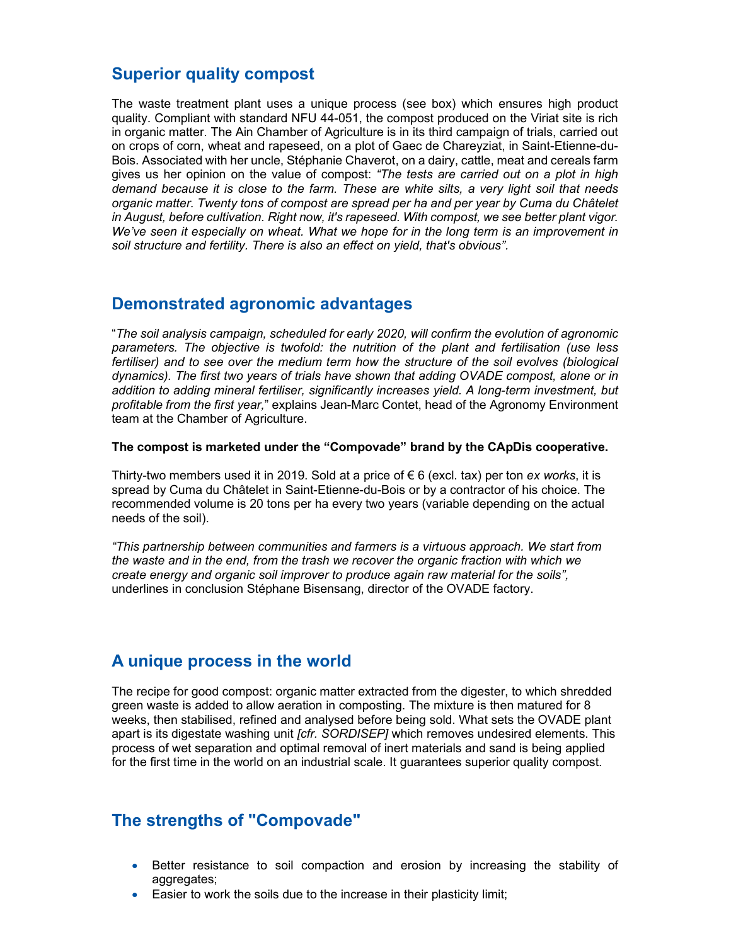#### **Superior quality compost**

The waste treatment plant uses a unique process (see box) which ensures high product quality. Compliant with standard NFU 44-051, the compost produced on the Viriat site is rich in organic matter. The Ain Chamber of Agriculture is in its third campaign of trials, carried out on crops of corn, wheat and rapeseed, on a plot of Gaec de Chareyziat, in Saint-Etienne-du-Bois. Associated with her uncle, Stéphanie Chaverot, on a dairy, cattle, meat and cereals farm gives us her opinion on the value of compost: *"The tests are carried out on a plot in high demand because it is close to the farm. These are white silts, a very light soil that needs organic matter. Twenty tons of compost are spread per ha and per year by Cuma du Châtelet in August, before cultivation. Right now, it's rapeseed. With compost, we see better plant vigor. We've seen it especially on wheat. What we hope for in the long term is an improvement in soil structure and fertility. There is also an effect on yield, that's obvious".* 

#### **Demonstrated agronomic advantages**

"*The soil analysis campaign, scheduled for early 2020, will confirm the evolution of agronomic parameters. The objective is twofold: the nutrition of the plant and fertilisation (use less*  fertiliser) and to see over the medium term how the structure of the soil evolves (biological *dynamics). The first two years of trials have shown that adding OVADE compost, alone or in addition to adding mineral fertiliser, significantly increases yield. A long-term investment, but profitable from the first year,*" explains Jean-Marc Contet, head of the Agronomy Environment team at the Chamber of Agriculture.

**The compost is marketed under the "Compovade" brand by the CApDis cooperative.** 

Thirty-two members used it in 2019. Sold at a price of € 6 (excl. tax) per ton *ex works*, it is spread by Cuma du Châtelet in Saint-Etienne-du-Bois or by a contractor of his choice. The recommended volume is 20 tons per ha every two years (variable depending on the actual needs of the soil).

*"This partnership between communities and farmers is a virtuous approach. We start from the waste and in the end, from the trash we recover the organic fraction with which we create energy and organic soil improver to produce again raw material for the soils",*  underlines in conclusion Stéphane Bisensang, director of the OVADE factory.

#### **A unique process in the world**

The recipe for good compost: organic matter extracted from the digester, to which shredded green waste is added to allow aeration in composting. The mixture is then matured for 8 weeks, then stabilised, refined and analysed before being sold. What sets the OVADE plant apart is its digestate washing unit *[cfr. SORDISEP]* which removes undesired elements. This process of wet separation and optimal removal of inert materials and sand is being applied for the first time in the world on an industrial scale. It guarantees superior quality compost.

### **The strengths of "Compovade"**

- Better resistance to soil compaction and erosion by increasing the stability of aggregates;
- Easier to work the soils due to the increase in their plasticity limit;